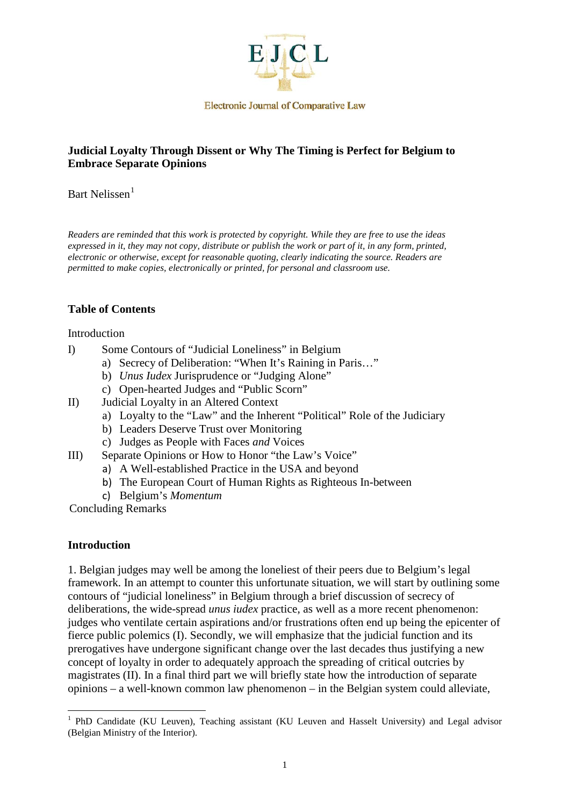

**Electronic Journal of Comparative Law** 

### **Judicial Loyalty Through Dissent or Why The Timing is Perfect for Belgium to Embrace Separate Opinions**

Bart Nelissen<sup>[1](#page-0-0)</sup>

*Readers are reminded that this work is protected by copyright. While they are free to use the ideas expressed in it, they may not copy, distribute or publish the work or part of it, in any form, printed, electronic or otherwise, except for reasonable quoting, clearly indicating the source. Readers are permitted to make copies, electronically or printed, for personal and classroom use.*

#### **Table of Contents**

#### Introduction

- I) Some Contours of "Judicial Loneliness" in Belgium
	- a) Secrecy of Deliberation: "When It's Raining in Paris…"
	- b) *Unus Iudex* Jurisprudence or "Judging Alone"
	- c) Open-hearted Judges and "Public Scorn"
- II) Judicial Loyalty in an Altered Context
	- a) Loyalty to the "Law" and the Inherent "Political" Role of the Judiciary
	- b) Leaders Deserve Trust over Monitoring
	- c) Judges as People with Faces *and* Voices
- III) Separate Opinions or How to Honor "the Law's Voice"
	- a) A Well-established Practice in the USA and beyond
	- b) The European Court of Human Rights as Righteous In-between
	- c) Belgium's *Momentum*

Concluding Remarks

#### **Introduction**

<u>.</u>

1. Belgian judges may well be among the loneliest of their peers due to Belgium's legal framework. In an attempt to counter this unfortunate situation, we will start by outlining some contours of "judicial loneliness" in Belgium through a brief discussion of secrecy of deliberations, the wide-spread *unus iudex* practice, as well as a more recent phenomenon: judges who ventilate certain aspirations and/or frustrations often end up being the epicenter of fierce public polemics (I). Secondly, we will emphasize that the judicial function and its prerogatives have undergone significant change over the last decades thus justifying a new concept of loyalty in order to adequately approach the spreading of critical outcries by magistrates (II). In a final third part we will briefly state how the introduction of separate opinions – a well-known common law phenomenon – in the Belgian system could alleviate,

<span id="page-0-0"></span><sup>&</sup>lt;sup>1</sup> PhD Candidate (KU Leuven), Teaching assistant (KU Leuven and Hasselt University) and Legal advisor (Belgian Ministry of the Interior).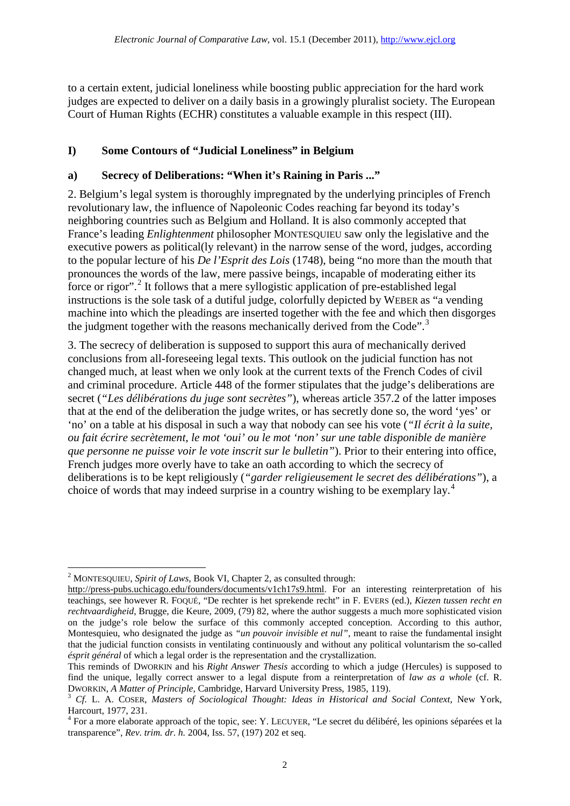to a certain extent, judicial loneliness while boosting public appreciation for the hard work judges are expected to deliver on a daily basis in a growingly pluralist society. The European Court of Human Rights (ECHR) constitutes a valuable example in this respect (III).

# **I) Some Contours of "Judicial Loneliness" in Belgium**

### **a) Secrecy of Deliberations: "When it's Raining in Paris ..."**

2. Belgium's legal system is thoroughly impregnated by the underlying principles of French revolutionary law, the influence of Napoleonic Codes reaching far beyond its today's neighboring countries such as Belgium and Holland. It is also commonly accepted that France's leading *Enlightenment* philosopher MONTESQUIEU saw only the legislative and the executive powers as political(ly relevant) in the narrow sense of the word, judges, according to the popular lecture of his *De l'Esprit des Lois* (1748), being "no more than the mouth that pronounces the words of the law, mere passive beings, incapable of moderating either its force or rigor".<sup>[2](#page-1-0)</sup> It follows that a mere syllogistic application of pre-established legal instructions is the sole task of a dutiful judge, colorfully depicted by WEBER as "a vending machine into which the pleadings are inserted together with the fee and which then disgorges the judgment together with the reasons mechanically derived from the Code".<sup>[3](#page-1-1)</sup>

3. The secrecy of deliberation is supposed to support this aura of mechanically derived conclusions from all-foreseeing legal texts. This outlook on the judicial function has not changed much, at least when we only look at the current texts of the French Codes of civil and criminal procedure. Article 448 of the former stipulates that the judge's deliberations are secret (*"Les délibérations du juge sont secrètes"*), whereas article 357.2 of the latter imposes that at the end of the deliberation the judge writes, or has secretly done so, the word 'yes' or 'no' on a table at his disposal in such a way that nobody can see his vote (*"Il écrit à la suite, ou fait écrire secrètement, le mot 'oui' ou le mot 'non' sur une table disponible de manière que personne ne puisse voir le vote inscrit sur le bulletin"*). Prior to their entering into office, French judges more overly have to take an oath according to which the secrecy of deliberations is to be kept religiously (*"garder religieusement le secret des délibérations"*), a choice of words that may indeed surprise in a country wishing to be exemplary lay. [4](#page-1-2)

<sup>&</sup>lt;u>.</u> <sup>2</sup> MONTESQUIEU, *Spirit of Laws*, Book VI, Chapter 2, as consulted through:

<span id="page-1-0"></span>http://press-pubs.uchicago.edu/founders/documents/v1ch17s9.html. For an interesting reinterpretation of his teachings, see however R. FOQUÉ, "De rechter is het sprekende recht" in F. EVERS (ed.), *Kiezen tussen recht en rechtvaardigheid*, Brugge, die Keure, 2009, (79) 82, where the author suggests a much more sophisticated vision on the judge's role below the surface of this commonly accepted conception. According to this author, Montesquieu, who designated the judge as *"un pouvoir invisible et nul"*, meant to raise the fundamental insight that the judicial function consists in ventilating continuously and without any political voluntarism the so-called *ésprit général* of which a legal order is the representation and the crystallization.

This reminds of DWORKIN and his *Right Answer Thesis* according to which a judge (Hercules) is supposed to find the unique, legally correct answer to a legal dispute from a reinterpretation of *law as a whole* (cf. R.

<span id="page-1-1"></span>DWORKIN, *A Matter of Principle*, Cambridge, Harvard University Press, 1985, 119). <sup>3</sup> *Cf.* L. A. COSER, *Masters of Sociological Thought: Ideas in Historical and Social Context*, New York, Harcourt, 1977, 231.

<span id="page-1-2"></span><sup>4</sup> For a more elaborate approach of the topic, see: Y. LECUYER, "Le secret du délibéré, les opinions séparées et la transparence", *Rev. trim. dr. h.* 2004, Iss. 57, (197) 202 et seq.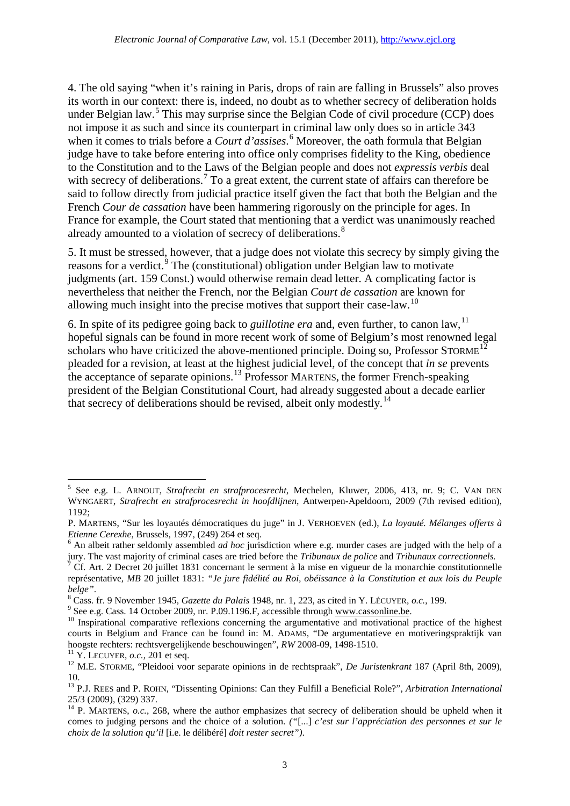4. The old saying "when it's raining in Paris, drops of rain are falling in Brussels" also proves its worth in our context: there is, indeed, no doubt as to whether secrecy of deliberation holds under Belgian law.<sup>[5](#page-2-0)</sup> This may surprise since the Belgian Code of civil procedure (CCP) does not impose it as such and since its counterpart in criminal law only does so in article 343 when it comes to trials before a *Court d'assises*. [6](#page-2-1) Moreover, the oath formula that Belgian judge have to take before entering into office only comprises fidelity to the King, obedience to the Constitution and to the Laws of the Belgian people and does not *expressis verbis* deal with secrecy of deliberations.<sup>[7](#page-2-2)</sup> To a great extent, the current state of affairs can therefore be said to follow directly from judicial practice itself given the fact that both the Belgian and the French *Cour de cassation* have been hammering rigorously on the principle for ages. In France for example, the Court stated that mentioning that a verdict was unanimously reached already amounted to a violation of secrecy of deliberations.<sup>[8](#page-2-3)</sup>

5. It must be stressed, however, that a judge does not violate this secrecy by simply giving the reasons for a verdict.<sup>[9](#page-2-4)</sup> The (constitutional) obligation under Belgian law to motivate judgments (art. 159 Const.) would otherwise remain dead letter. A complicating factor is nevertheless that neither the French, nor the Belgian *Court de cassation* are known for allowing much insight into the precise motives that support their case-law.<sup>[10](#page-2-5)</sup>

6. In spite of its pedigree going back to *guillotine era* and, even further, to canon law, [11](#page-2-6) hopeful signals can be found in more recent work of some of Belgium's most renowned legal scholars who have criticized the above-mentioned principle. Doing so, Professor STORME<sup>[12](#page-2-7)</sup> pleaded for a revision, at least at the highest judicial level, of the concept that *in se* prevents the acceptance of separate opinions.<sup>[13](#page-2-8)</sup> Professor MARTENS, the former French-speaking president of the Belgian Constitutional Court, had already suggested about a decade earlier that secrecy of deliberations should be revised, albeit only modestly.<sup>[14](#page-2-9)</sup>

<span id="page-2-5"></span><span id="page-2-4"></span>

.

<span id="page-2-0"></span><sup>5</sup> See e.g. L. ARNOUT, *Strafrecht en strafprocesrecht*, Mechelen, Kluwer, 2006, 413, nr. 9; C. VAN DEN WYNGAERT, *Strafrecht en strafprocesrecht in hoofdlijnen*, Antwerpen-Apeldoorn, 2009 (7th revised edition), 1192;

P. MARTENS, "Sur les loyautés démocratiques du juge" in J. VERHOEVEN (ed.), *La loyauté. Mélanges offerts à* 

<span id="page-2-1"></span>*Etienne Cerexhe*, Brussels, 1997, (249) 264 et seq.<br><sup>6</sup> An albeit rather seldomly assembled *ad hoc* jurisdiction where e.g. murder cases are judged with the help of a<br>jury. The vast majority of criminal cases are tried b

<span id="page-2-2"></span>Cf. Art. 2 Decret 20 juillet 1831 concernant le serment à la mise en vigueur de la monarchie constitutionnelle représentative, *MB* 20 juillet 1831: *"Je jure fidélité au Roi, obéissance à la Constitution et aux lois du Peuple* 

<span id="page-2-3"></span>belge".<br>
<sup>8</sup> Cass. fr. 9 November 1945, *Gazette du Palais* 1948, nr. 1, 223, as cited in Y. LÉCUYER, *o.c.*, 199.<br>
<sup>9</sup> See e.g. Cass. 14 October 2009, nr. P.09.1196.F, accessible through <u>www.cassonline.be</u>.<br>
<sup>10</sup> Inspir courts in Belgium and France can be found in: M. ADAMS, "De argumentatieve en motiveringspraktijk van hoogste rechters: rechtsvergelijkende beschouwingen", RW 2008-09, 1498-1510.

<span id="page-2-7"></span><span id="page-2-6"></span><sup>&</sup>lt;sup>11</sup> Y. LECUYER, *o.c.*, 201 et seq.<br><sup>12</sup> M.E. STORME, "Pleidooi voor separate opinions in de rechtspraak", *De Juristenkrant* 187 (April 8th, 2009), 10.

<span id="page-2-8"></span><sup>13</sup> P.J. REES and P. ROHN, "Dissenting Opinions: Can they Fulfill a Beneficial Role?", *Arbitration International* 25/3 (2009), (329) 337.

<span id="page-2-9"></span><sup>&</sup>lt;sup>14</sup> P. MARTENS, *o.c.*, 268, where the author emphasizes that secrecy of deliberation should be upheld when it comes to judging persons and the choice of a solution. *("*[...] *c'est sur l'appréciation des personnes et sur le choix de la solution qu'il* [i.e. le délibéré] *doit rester secret")*.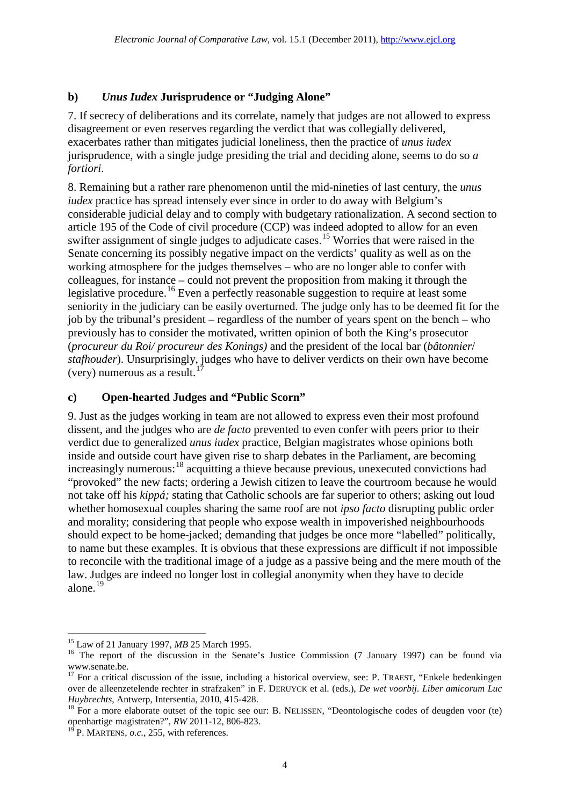### **b)** *Unus Iudex* **Jurisprudence or "Judging Alone"**

7. If secrecy of deliberations and its correlate, namely that judges are not allowed to express disagreement or even reserves regarding the verdict that was collegially delivered, exacerbates rather than mitigates judicial loneliness, then the practice of *unus iudex* jurisprudence, with a single judge presiding the trial and deciding alone, seems to do so *a fortiori*.

8. Remaining but a rather rare phenomenon until the mid-nineties of last century, the *unus iudex* practice has spread intensely ever since in order to do away with Belgium's considerable judicial delay and to comply with budgetary rationalization. A second section to article 195 of the Code of civil procedure (CCP) was indeed adopted to allow for an even swifter assignment of single judges to adjudicate cases. [15](#page-3-0) Worries that were raised in the Senate concerning its possibly negative impact on the verdicts' quality as well as on the working atmosphere for the judges themselves – who are no longer able to confer with colleagues, for instance – could not prevent the proposition from making it through the legislative procedure.<sup>[16](#page-3-1)</sup> Even a perfectly reasonable suggestion to require at least some seniority in the judiciary can be easily overturned. The judge only has to be deemed fit for the job by the tribunal's president – regardless of the number of years spent on the bench – who previously has to consider the motivated, written opinion of both the King's prosecutor (*procureur du Roi/ procureur des Konings)* and the president of the local bar (*bâtonnier*/ *stafhouder*). Unsurprisingly, judges who have to deliver verdicts on their own have become (very) numerous as a result. [17](#page-3-2)

#### **c) Open-hearted Judges and "Public Scorn"**

9. Just as the judges working in team are not allowed to express even their most profound dissent, and the judges who are *de facto* prevented to even confer with peers prior to their verdict due to generalized *unus iudex* practice, Belgian magistrates whose opinions both inside and outside court have given rise to sharp debates in the Parliament, are becoming increasingly numerous: [18](#page-3-3) acquitting a thieve because previous, unexecuted convictions had "provoked" the new facts; ordering a Jewish citizen to leave the courtroom because he would not take off his *kippá;* stating that Catholic schools are far superior to others; asking out loud whether homosexual couples sharing the same roof are not *ipso facto* disrupting public order and morality; considering that people who expose wealth in impoverished neighbourhoods should expect to be home-jacked; demanding that judges be once more "labelled" politically, to name but these examples. It is obvious that these expressions are difficult if not impossible to reconcile with the traditional image of a judge as a passive being and the mere mouth of the law. Judges are indeed no longer lost in collegial anonymity when they have to decide alone. [19](#page-3-4)

<span id="page-3-1"></span><span id="page-3-0"></span><sup>&</sup>lt;sup>15</sup> Law of 21 January 1997, *MB* 25 March 1995.<br><sup>16</sup> The report of the discussion in the Senate's Justice Commission (7 January 1997) can be found via www.senate.be.

<span id="page-3-2"></span><sup>&</sup>lt;sup>17</sup> For a critical discussion of the issue, including a historical overview, see: P. TRAEST, "Enkele bedenkingen over de alleenzetelende rechter in strafzaken" in F. DERUYCK et al. (eds.), *De wet voorbij. Liber amicorum Luc Huybrechts*, Antwerp, Intersentia, 2010, 415-428.<br><sup>18</sup> For a more elaborate outset of the topic see our: B. NELISSEN, "Deontologische codes of deugden voor (te)

<span id="page-3-3"></span>openhartige magistraten?", *RW* 2011-12, 806-823.

<span id="page-3-4"></span> $\overline{P}$  P. MARTENS, *o.c.*, 255, with references.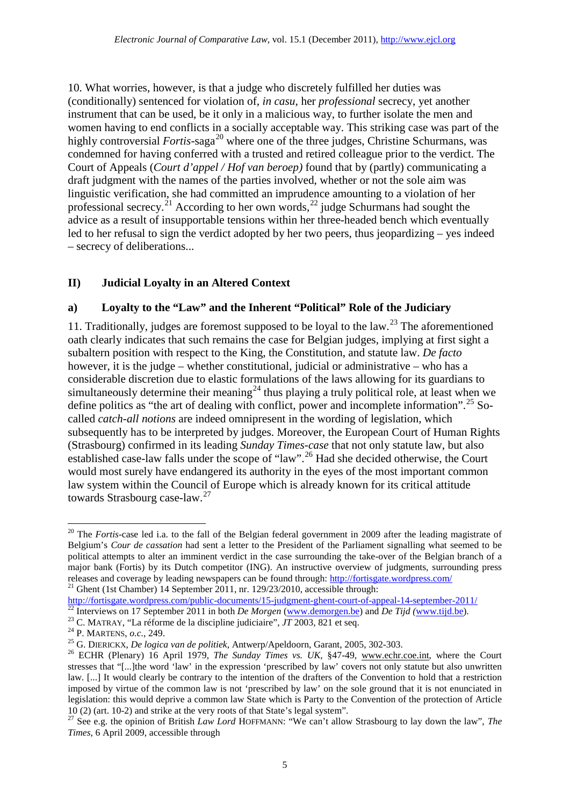10. What worries, however, is that a judge who discretely fulfilled her duties was (conditionally) sentenced for violation of, *in casu*, her *professional* secrecy, yet another instrument that can be used, be it only in a malicious way, to further isolate the men and women having to end conflicts in a socially acceptable way. This striking case was part of the highly controversial *Fortis*-saga<sup>[20](#page-4-0)</sup> where one of the three judges, Christine Schurmans, was condemned for having conferred with a trusted and retired colleague prior to the verdict. The Court of Appeals (*Court d'appel / Hof van beroep)* found that by (partly) communicating a draft judgment with the names of the parties involved, whether or not the sole aim was linguistic verification, she had committed an imprudence amounting to a violation of her professional secrecy.<sup>[21](#page-4-1)</sup> According to her own words,<sup>[22](#page-4-2)</sup> judge Schurmans had sought the advice as a result of insupportable tensions within her three-headed bench which eventually led to her refusal to sign the verdict adopted by her two peers, thus jeopardizing – yes indeed – secrecy of deliberations...

### **II) Judicial Loyalty in an Altered Context**

### **a) Loyalty to the "Law" and the Inherent "Political" Role of the Judiciary**

11. Traditionally, judges are foremost supposed to be loyal to the law. [23](#page-4-3) The aforementioned oath clearly indicates that such remains the case for Belgian judges, implying at first sight a subaltern position with respect to the King, the Constitution, and statute law. *De facto* however, it is the judge – whether constitutional, judicial or administrative – who has a considerable discretion due to elastic formulations of the laws allowing for its guardians to simultaneously determine their meaning<sup>[24](#page-4-4)</sup> thus playing a truly political role, at least when we define politics as "the art of dealing with conflict, power and incomplete information".<sup>[25](#page-4-5)</sup> Socalled *catch-all notions* are indeed omnipresent in the wording of legislation, which subsequently has to be interpreted by judges. Moreover, the European Court of Human Rights (Strasbourg) confirmed in its leading *Sunday Times-case* that not only statute law, but also established case-law falls under the scope of "law".<sup>[26](#page-4-6)</sup> Had she decided otherwise, the Court would most surely have endangered its authority in the eyes of the most important common law system within the Council of Europe which is already known for its critical attitude towards Strasbourg case-law.<sup>[27](#page-4-7)</sup>

<span id="page-4-0"></span><sup>&</sup>lt;sup>20</sup> The *Fortis*-case led i.a. to the fall of the Belgian federal government in 2009 after the leading magistrate of Belgium's *Cour de cassation* had sent a letter to the President of the Parliament signalling what seemed to be political attempts to alter an imminent verdict in the case surrounding the take-over of the Belgian branch of a major bank (Fortis) by its Dutch competitor (ING). An instructive overview of judgments, surrounding press releases and coverage by leading newspapers can be found through[: http://fortisgate.wordpress.com/](http://fortisgate.wordpress.com/)<br><sup>21</sup> Ghent (1st Chamber) 14 September 2011, nr. 129/23/2010, accessible through:

<span id="page-4-2"></span>

<span id="page-4-3"></span>

<span id="page-4-4"></span>

<span id="page-4-6"></span><span id="page-4-5"></span>

<span id="page-4-1"></span><http://fortisgate.wordpress.com/public-documents/15-judgment-ghent-court-of-appeal-14-september-2011/><br>
<sup>22</sup> Interviews on 17 September 2011 in both *De Morgen* [\(www.demorgen.be\)](http://www.demorgen.be/) and *De Tijd* ([www.tijd.be\)](http://www.tijd.be/).<br>
<sup>23</sup> C. MATRA stresses that "[...]the word 'law' in the expression 'prescribed by law' covers not only statute but also unwritten law. [...] It would clearly be contrary to the intention of the drafters of the Convention to hold that a restriction imposed by virtue of the common law is not 'prescribed by law' on the sole ground that it is not enunciated in legislation: this would deprive a common law State which is Party to the Convention of the protection of Article 10 (2) (art. 10-2) and strike at the very roots of that State's legal system".

<span id="page-4-7"></span><sup>&</sup>lt;sup>27</sup> See e.g. the opinion of British *Law Lord* HOFFMANN: "We can't allow Strasbourg to lay down the law", *The Times*, 6 April 2009, accessible through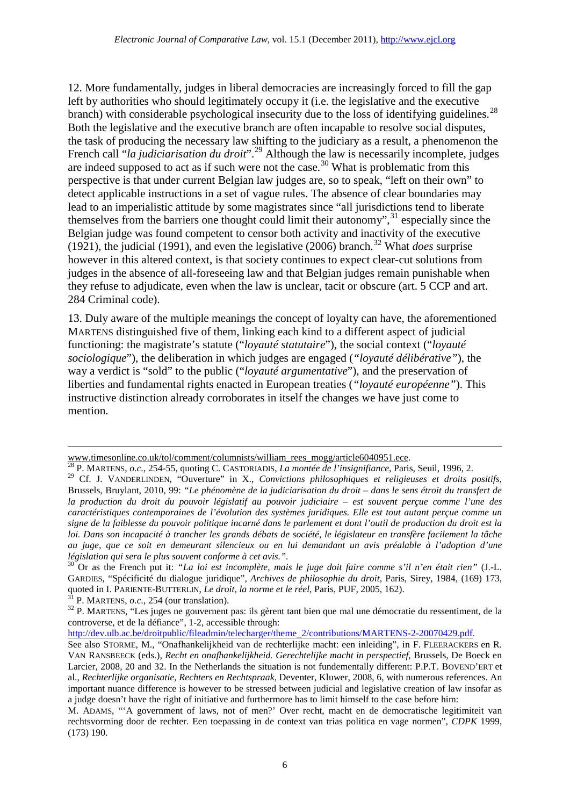12. More fundamentally, judges in liberal democracies are increasingly forced to fill the gap left by authorities who should legitimately occupy it (i.e. the legislative and the executive branch) with considerable psychological insecurity due to the loss of identifying guidelines.<sup>[28](#page-5-0)</sup> Both the legislative and the executive branch are often incapable to resolve social disputes, the task of producing the necessary law shifting to the judiciary as a result, a phenomenon the French call "*la judiciarisation du droit*". [29](#page-5-1) Although the law is necessarily incomplete, judges are indeed supposed to act as if such were not the case.<sup>[30](#page-5-2)</sup> What is problematic from this perspective is that under current Belgian law judges are, so to speak, "left on their own" to detect applicable instructions in a set of vague rules. The absence of clear boundaries may lead to an imperialistic attitude by some magistrates since "all jurisdictions tend to liberate themselves from the barriers one thought could limit their autonomy", [31](#page-5-3) especially since the Belgian judge was found competent to censor both activity and inactivity of the executive (1921), the judicial (1991), and even the legislative (2006) branch. [32](#page-5-4) What *does* surprise however in this altered context, is that society continues to expect clear-cut solutions from judges in the absence of all-foreseeing law and that Belgian judges remain punishable when they refuse to adjudicate, even when the law is unclear, tacit or obscure (art. 5 CCP and art. 284 Criminal code).

13. Duly aware of the multiple meanings the concept of loyalty can have, the aforementioned MARTENS distinguished five of them, linking each kind to a different aspect of judicial functioning: the magistrate's statute ("*loyauté statutaire*"), the social context ("*loyauté sociologique*"), the deliberation in which judges are engaged (*"loyauté délibérative"*), the way a verdict is "sold" to the public ("*loyauté argumentative*"), and the preservation of liberties and fundamental rights enacted in European treaties (*"loyauté européenne"*). This instructive distinction already corroborates in itself the changes we have just come to mention.

www.timesonline.co.uk/tol/comment/columnists/william\_rees\_mogg/article6040951.ece. <sup>28</sup> P. MARTENS, *o.c.*, 254-55, quoting C. CASTORIADIS, *La montée de l'insignifiance*, Paris, Seuil, 1996, 2.

<span id="page-5-1"></span><span id="page-5-0"></span><sup>&</sup>lt;sup>29</sup> Cf. J. VANDERLINDEN, "Ouverture" in X., *Convictions philosophiques et religieuses et droits positifs*, Brussels, Bruylant, 2010, 99: *"Le phénomène de la judiciarisation du droit – dans le sens étroit du transfert de la production du droit du pouvoir législatif au pouvoir judiciaire – est souvent perçue comme l'une des caractéristiques contemporaines de l'évolution des systèmes juridiques. Elle est tout autant perçue comme un signe de la faiblesse du pouvoir politique incarné dans le parlement et dont l'outil de production du droit est la loi. Dans son incapacité à trancher les grands débats de société, le législateur en transfère facilement la tâche au juge, que ce soit en demeurant silencieux ou en lui demandant un avis préalable à l'adoption d'une législation qui sera le plus souvent conforme à cet avis."*. <sup>30</sup> Or as the French put it: *"La loi est incomplète, mais le juge doit faire comme s'il n'en était rien"* (J.-L.

<span id="page-5-2"></span>GARDIES, "Spécificité du dialogue juridique", *Archives de philosophie du droit*, Paris, Sirey, 1984, (169) 173, quoted in I. PARIENTE-BUTTERLIN, *Le droit*, la norme et le réel, Paris, PUF, 2005, 162).

<span id="page-5-4"></span><span id="page-5-3"></span><sup>&</sup>lt;sup>31</sup> P. MARTENS, *o.c.*, 254 (our translation).<br><sup>32</sup> P. MARTENS, "Les juges ne gouvernent pas: ils gèrent tant bien que mal une démocratie du ressentiment, de la controverse, et de la défiance", 1-2, accessible through:

[http://dev.ulb.ac.be/droitpublic/fileadmin/telecharger/theme\\_2/contributions/MARTENS-2-20070429.pdf.](http://dev.ulb.ac.be/droitpublic/fileadmin/telecharger/theme_2/contributions/MARTENS-2-20070429.pdf)

See also STORME, M., "Onafhankelijkheid van de rechterlijke macht: een inleiding", in F. FLEERACKERS en R. VAN RANSBEECK (eds.), *Recht en onafhankelijkheid. Gerechtelijke macht in perspectief*, Brussels, De Boeck en Larcier, 2008, 20 and 32. In the Netherlands the situation is not fundementally different: P.P.T. BOVEND'ERT et al., *Rechterlijke organisatie, Rechters en Rechtspraak*, Deventer, Kluwer, 2008, 6, with numerous references. An important nuance difference is however to be stressed between judicial and legislative creation of law insofar as a judge doesn't have the right of initiative and furthermore has to limit himself to the case before him:

M. ADAMS, "'A government of laws, not of men?' Over recht, macht en de democratische legitimiteit van rechtsvorming door de rechter. Een toepassing in de context van trias politica en vage normen", *CDPK* 1999, (173) 190.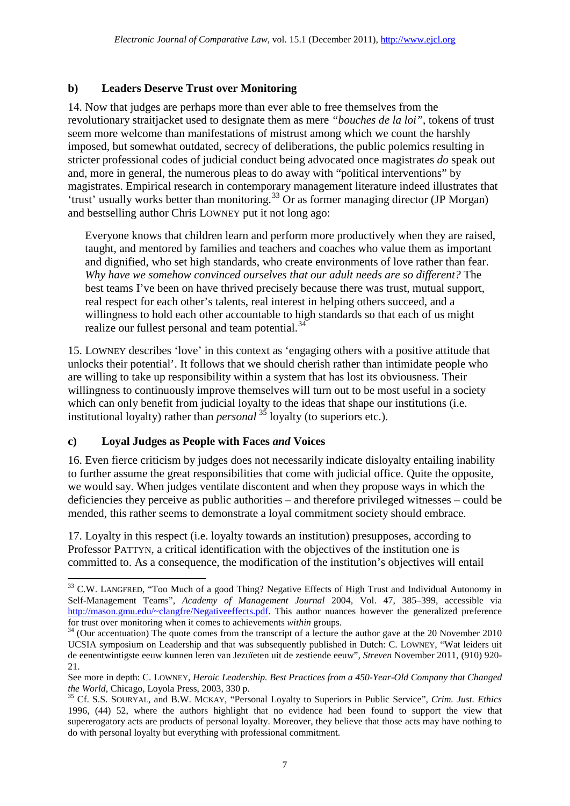### **b) Leaders Deserve Trust over Monitoring**

14. Now that judges are perhaps more than ever able to free themselves from the revolutionary straitjacket used to designate them as mere *"bouches de la loi"*, tokens of trust seem more welcome than manifestations of mistrust among which we count the harshly imposed, but somewhat outdated, secrecy of deliberations, the public polemics resulting in stricter professional codes of judicial conduct being advocated once magistrates *do* speak out and, more in general, the numerous pleas to do away with "political interventions" by magistrates. Empirical research in contemporary management literature indeed illustrates that 'trust' usually works better than monitoring. [33](#page-6-0) Or as former managing director (JP Morgan) and bestselling author Chris LOWNEY put it not long ago:

Everyone knows that children learn and perform more productively when they are raised, taught, and mentored by families and teachers and coaches who value them as important and dignified, who set high standards, who create environments of love rather than fear. *Why have we somehow convinced ourselves that our adult needs are so different?* The best teams I've been on have thrived precisely because there was trust, mutual support, real respect for each other's talents, real interest in helping others succeed, and a willingness to hold each other accountable to high standards so that each of us might realize our fullest personal and team potential.<sup>[34](#page-6-1)</sup>

15. LOWNEY describes 'love' in this context as 'engaging others with a positive attitude that unlocks their potential'. It follows that we should cherish rather than intimidate people who are willing to take up responsibility within a system that has lost its obviousness. Their willingness to continuously improve themselves will turn out to be most useful in a society which can only benefit from judicial loyalty to the ideas that shape our institutions (i.e. institutional loyalty) rather than *personal* [35](#page-6-2) loyalty (to superiors etc.).

### **c) Loyal Judges as People with Faces** *and* **Voices**

<u>.</u>

16. Even fierce criticism by judges does not necessarily indicate disloyalty entailing inability to further assume the great responsibilities that come with judicial office. Quite the opposite, we would say. When judges ventilate discontent and when they propose ways in which the deficiencies they perceive as public authorities – and therefore privileged witnesses – could be mended, this rather seems to demonstrate a loyal commitment society should embrace.

17. Loyalty in this respect (i.e. loyalty towards an institution) presupposes, according to Professor PATTYN, a critical identification with the objectives of the institution one is committed to. As a consequence, the modification of the institution's objectives will entail

<span id="page-6-0"></span><sup>&</sup>lt;sup>33</sup> C.W. LANGFRED, "Too Much of a good Thing? Negative Effects of High Trust and Individual Autonomy in Self-Management Teams", *Academy of Management Journal* 2004, Vol. 47, 385–399, accessible via [http://mason.gmu.edu/~clangfre/Negativeeffects.pdf.](https://owa-adfs.kuleuven.be/owa/redir.aspx?C=30b36aa3af664e7c92b6eb53e9c8ee59&URL=http%3a%2f%2fmason.gmu.edu%2f%7eclangfre%2fNegativeeffects.pdf) This author nuances however the generalized preference for trust over monitoring when it comes to achievements *within* groups.

<span id="page-6-1"></span><sup>&</sup>lt;sup>34</sup> (Our accentuation) The quote comes from the transcript of a lecture the author gave at the 20 November 2010 UCSIA symposium on Leadership and that was subsequently published in Dutch: C. LOWNEY, "Wat leiders uit de eenentwintigste eeuw kunnen leren van Jezuïeten uit de zestiende eeuw", *Streven* November 2011, (910) 920- 21.

See more in depth: C. LOWNEY, *Heroic Leadership. Best Practices from a 450-Year-Old Company that Changed the World*, Chicago, Loyola Press, 2003, 330 p.

<span id="page-6-2"></span><sup>&</sup>lt;sup>35</sup> Cf. S.S. SOURYAL, and B.W. MCKAY, "Personal Loyalty to Superiors in Public Service", *Crim. Just. Ethics* 1996, (44) 52, where the authors highlight that no evidence had been found to support the view that supererogatory acts are products of personal loyalty. Moreover, they believe that those acts may have nothing to do with personal loyalty but everything with professional commitment.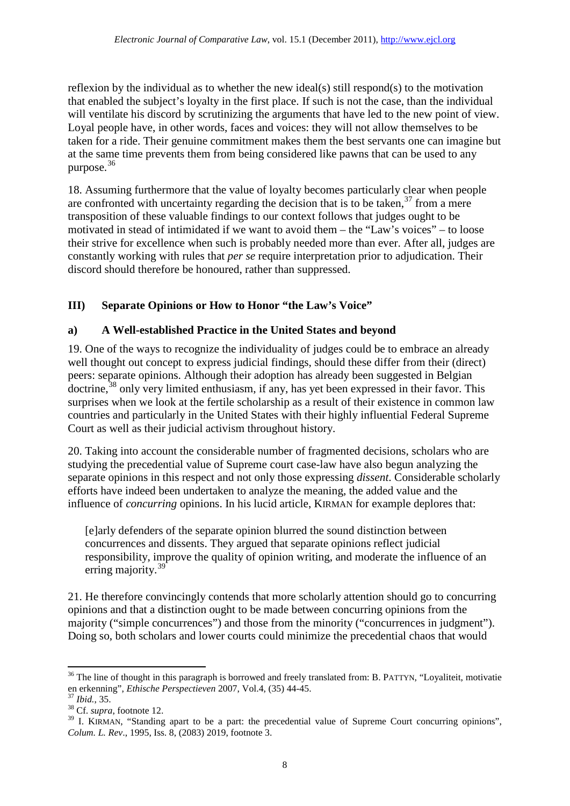reflexion by the individual as to whether the new ideal(s) still respond(s) to the motivation that enabled the subject's loyalty in the first place. If such is not the case, than the individual will ventilate his discord by scrutinizing the arguments that have led to the new point of view. Loyal people have, in other words, faces and voices: they will not allow themselves to be taken for a ride. Their genuine commitment makes them the best servants one can imagine but at the same time prevents them from being considered like pawns that can be used to any purpose. [36](#page-7-0)

18. Assuming furthermore that the value of loyalty becomes particularly clear when people are confronted with uncertainty regarding the decision that is to be taken,<sup>[37](#page-7-1)</sup> from a mere transposition of these valuable findings to our context follows that judges ought to be motivated in stead of intimidated if we want to avoid them – the "Law's voices" – to loose their strive for excellence when such is probably needed more than ever. After all, judges are constantly working with rules that *per se* require interpretation prior to adjudication. Their discord should therefore be honoured, rather than suppressed.

# **III) Separate Opinions or How to Honor "the Law's Voice"**

# **a) A Well-established Practice in the United States and beyond**

19. One of the ways to recognize the individuality of judges could be to embrace an already well thought out concept to express judicial findings, should these differ from their (direct) peers: separate opinions. Although their adoption has already been suggested in Belgian doctrine,<sup>[38](#page-7-2)</sup> only very limited enthusiasm, if any, has yet been expressed in their favor. This surprises when we look at the fertile scholarship as a result of their existence in common law countries and particularly in the United States with their highly influential Federal Supreme Court as well as their judicial activism throughout history.

20. Taking into account the considerable number of fragmented decisions, scholars who are studying the precedential value of Supreme court case-law have also begun analyzing the separate opinions in this respect and not only those expressing *dissent*. Considerable scholarly efforts have indeed been undertaken to analyze the meaning, the added value and the influence of *concurring* opinions. In his lucid article, KIRMAN for example deplores that:

[e]arly defenders of the separate opinion blurred the sound distinction between concurrences and dissents. They argued that separate opinions reflect judicial responsibility, improve the quality of opinion writing, and moderate the influence of an erring majority.<sup>[39](#page-7-3)</sup>

21. He therefore convincingly contends that more scholarly attention should go to concurring opinions and that a distinction ought to be made between concurring opinions from the majority ("simple concurrences") and those from the minority ("concurrences in judgment"). Doing so, both scholars and lower courts could minimize the precedential chaos that would

<span id="page-7-0"></span><sup>&</sup>lt;sup>36</sup> The line of thought in this paragraph is borrowed and freely translated from: B. PATTYN, "Loyaliteit, motivatie en erkenning", *Ethische Perspectieven* 2007, Vol.4, (35) 44-45. <sup>37</sup> *Ibid.*, 35. <sup>38</sup> Cf. *supra*, footnote 12.

<span id="page-7-1"></span>

<span id="page-7-2"></span>

<span id="page-7-3"></span><sup>&</sup>lt;sup>39</sup> I. KIRMAN, "Standing apart to be a part: the precedential value of Supreme Court concurring opinions", *Colum. L. Rev*., 1995, Iss. 8, (2083) 2019, footnote 3.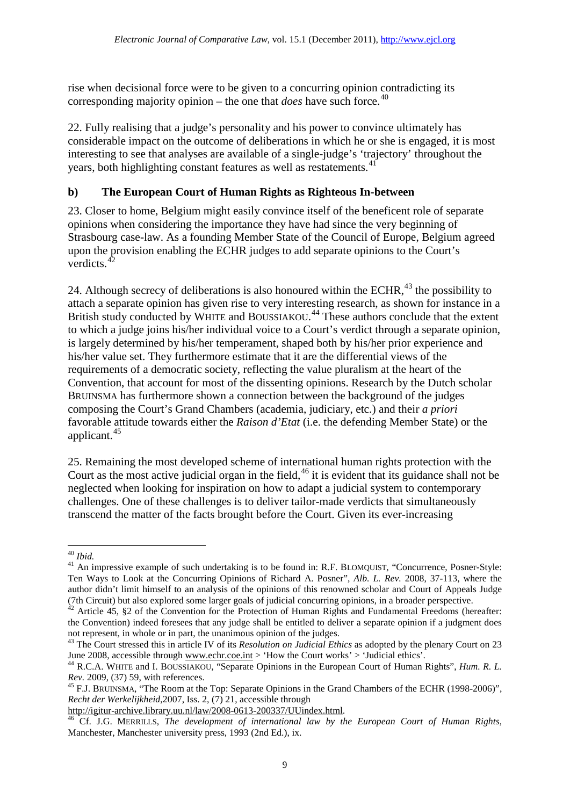rise when decisional force were to be given to a concurring opinion contradicting its corresponding majority opinion – the one that *does* have such force. [40](#page-8-0)

22. Fully realising that a judge's personality and his power to convince ultimately has considerable impact on the outcome of deliberations in which he or she is engaged, it is most interesting to see that analyses are available of a single-judge's 'trajectory' throughout the years, both highlighting constant features as well as restatements.<sup>[41](#page-8-1)</sup>

# **b) The European Court of Human Rights as Righteous In-between**

23. Closer to home, Belgium might easily convince itself of the beneficent role of separate opinions when considering the importance they have had since the very beginning of Strasbourg case-law. As a founding Member State of the Council of Europe, Belgium agreed upon the provision enabling the ECHR judges to add separate opinions to the Court's verdicts. $42$ 

24. Although secrecy of deliberations is also honoured within the ECHR, $^{43}$  $^{43}$  $^{43}$  the possibility to attach a separate opinion has given rise to very interesting research, as shown for instance in a British study conducted by WHITE and BOUSSIAKOU.<sup>[44](#page-8-4)</sup> These authors conclude that the extent to which a judge joins his/her individual voice to a Court's verdict through a separate opinion, is largely determined by his/her temperament, shaped both by his/her prior experience and his/her value set. They furthermore estimate that it are the differential views of the requirements of a democratic society, reflecting the value pluralism at the heart of the Convention, that account for most of the dissenting opinions. Research by the Dutch scholar BRUINSMA has furthermore shown a connection between the background of the judges composing the Court's Grand Chambers (academia, judiciary, etc.) and their *a priori* favorable attitude towards either the *Raison d'Etat* (i.e. the defending Member State) or the applicant. [45](#page-8-5)

25. Remaining the most developed scheme of international human rights protection with the Court as the most active judicial organ in the field, <sup>[46](#page-8-6)</sup> it is evident that its guidance shall not be neglected when looking for inspiration on how to adapt a judicial system to contemporary challenges. One of these challenges is to deliver tailor-made verdicts that simultaneously transcend the matter of the facts brought before the Court. Given its ever-increasing

<sup>40</sup> *Ibid.*

<span id="page-8-1"></span><span id="page-8-0"></span><sup>&</sup>lt;sup>41</sup> An impressive example of such undertaking is to be found in: R.F. BLOMQUIST, "Concurrence, Posner-Style: Ten Ways to Look at the Concurring Opinions of Richard A. Posner", *Alb. L. Rev.* 2008, 37-113, where the author didn't limit himself to an analysis of the opinions of this renowned scholar and Court of Appeals Judge (7th Circuit) but also explored some larger goals of judicial concurring opinions, in a broader perspective. <sup>42</sup> Article 45, §2 of the Convention for the Protection of Human Rights and Fundamental Freedoms (hereafter:

<span id="page-8-2"></span>the Convention) indeed foresees that any judge shall be entitled to deliver a separate opinion if a judgment does not represent, in whole or in part, the unanimous opinion of the judges.

<span id="page-8-3"></span><sup>&</sup>lt;sup>43</sup> The Court stressed this in article IV of its *Resolution on Judicial Ethics* as adopted by the plenary Court on 23 June 2008, accessible through www.echr.coe.int > 'How the Court works' > 'Judicial ethics'.

<span id="page-8-4"></span><sup>&</sup>lt;sup>44</sup> R.C.A. WHITE and I. BOUSSIAKOU, "Separate Opinions in the European Court of Human Rights", *Hum. R. L. Rev.* 2009. (37) 59. with references.

<span id="page-8-5"></span><sup>&</sup>lt;sup>45</sup> F.J. BRUINSMA, "The Room at the Top: Separate Opinions in the Grand Chambers of the ECHR (1998-2006)", *Recht der Werkelijkheid*,2007, Iss. 2, (7) 21, accessible through http://igitur-archive.library.uu.nl/law/2008-0613-200337/UUindex.html.

<span id="page-8-6"></span>Cf. J.G. MERRILLS, *The development of international law by the European Court of Human Rights*, Manchester, Manchester university press, 1993 (2nd Ed.), ix.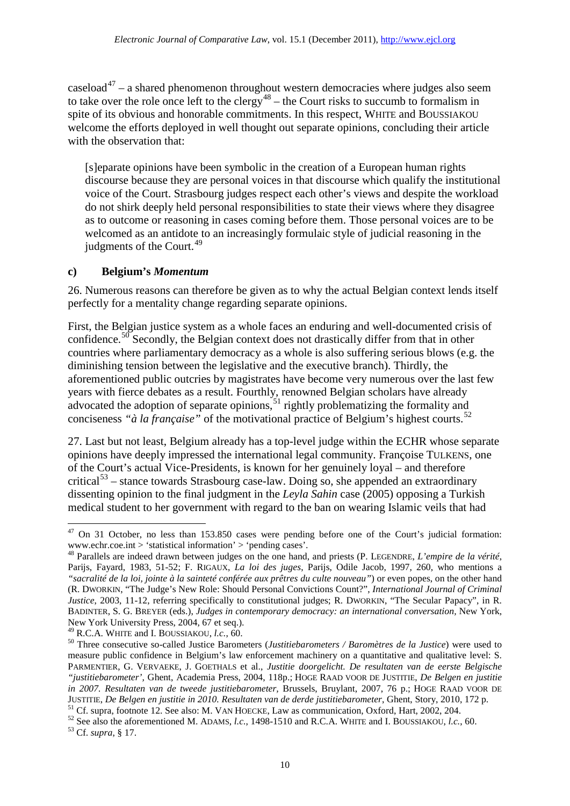caseload $47 - a$  $47 - a$  shared phenomenon throughout western democracies where judges also seem to take over the role once left to the clergy<sup>[48](#page-9-1)</sup> – the Court risks to succumb to formalism in spite of its obvious and honorable commitments. In this respect, WHITE and BOUSSIAKOU welcome the efforts deployed in well thought out separate opinions, concluding their article with the observation that:

[s]eparate opinions have been symbolic in the creation of a European human rights discourse because they are personal voices in that discourse which qualify the institutional voice of the Court. Strasbourg judges respect each other's views and despite the workload do not shirk deeply held personal responsibilities to state their views where they disagree as to outcome or reasoning in cases coming before them. Those personal voices are to be welcomed as an antidote to an increasingly formulaic style of judicial reasoning in the judgments of the Court. $49$ 

#### **c) Belgium's** *Momentum*

26. Numerous reasons can therefore be given as to why the actual Belgian context lends itself perfectly for a mentality change regarding separate opinions.

First, the Belgian justice system as a whole faces an enduring and well-documented crisis of confidence.<sup>[50](#page-9-3)</sup> Secondly, the Belgian context does not drastically differ from that in other countries where parliamentary democracy as a whole is also suffering serious blows (e.g. the diminishing tension between the legislative and the executive branch). Thirdly, the aforementioned public outcries by magistrates have become very numerous over the last few years with fierce debates as a result. Fourthly, renowned Belgian scholars have already advocated the adoption of separate opinions,<sup>[51](#page-9-4)</sup> rightly problematizing the formality and conciseness *"à la française"* of the motivational practice of Belgium's highest courts. [52](#page-9-5)

27. Last but not least, Belgium already has a top-level judge within the ECHR whose separate opinions have deeply impressed the international legal community. Françoise TULKENS, one of the Court's actual Vice-Presidents, is known for her genuinely loyal – and therefore critical<sup>[53](#page-9-6)</sup> – stance towards Strasbourg case-law. Doing so, she appended an extraordinary dissenting opinion to the final judgment in the *Leyla Sahin* case (2005) opposing a Turkish medical student to her government with regard to the ban on wearing Islamic veils that had

<span id="page-9-6"></span><span id="page-9-5"></span><span id="page-9-4"></span>

<span id="page-9-0"></span> $47$  On 31 October, no less than 153.850 cases were pending before one of the Court's judicial formation: www.echr.coe.int > 'statistical information' > 'pending cases'.

<span id="page-9-1"></span><sup>48</sup> Parallels are indeed drawn between judges on the one hand, and priests (P. LEGENDRE, *L'empire de la vérité*, Parijs, Fayard, 1983, 51-52; F. RIGAUX, *La loi des juges*, Parijs, Odile Jacob, 1997, 260, who mentions a *"sacralité de la loi, jointe à la sainteté conférée aux prêtres du culte nouveau"*) or even popes, on the other hand (R. DWORKIN, "The Judge's New Role: Should Personal Convictions Count?", *International Journal of Criminal Justice*, 2003, 11-12, referring specifically to constitutional judges; R. DWORKIN, "The Secular Papacy", in R. BADINTER, S. G. BREYER (eds.), *Judges in contemporary democracy: an international conversation,* New York, New York University Press, 2004, 67 et seq.).<br><sup>49</sup> R.C.A. WHITE and I. BOUSSIAKOU, *l.c.*, 60.

<span id="page-9-3"></span><span id="page-9-2"></span><sup>&</sup>lt;sup>50</sup> Three consecutive so-called Justice Barometers (*Justitiebarometers / Baromètres de la Justice*) were used to measure public confidence in Belgium's law enforcement machinery on a quantitative and qualitative level: S. PARMENTIER, G. VERVAEKE, J. GOETHALS et al., *Justitie doorgelicht. De resultaten van de eerste Belgische "justitiebarometer',* Ghent, Academia Press, 2004, 118p.; HOGE RAAD VOOR DE JUSTITIE, *De Belgen en justitie in 2007. Resultaten van de tweede justitiebarometer,* Brussels, Bruylant, 2007, 76 p.; HOGE RAAD VOOR DE

JUSTITIE, *De Belgen en justitie in 2010. Resultaten van de derde justitiebarometer*, Ghent, Story, 2010, 172 p.<br><sup>51</sup> Cf. supra, footnote 12. See also: M. VAN HOECKE, Law as communication, Oxford, Hart, 2002, 204.<br><sup>52</sup> See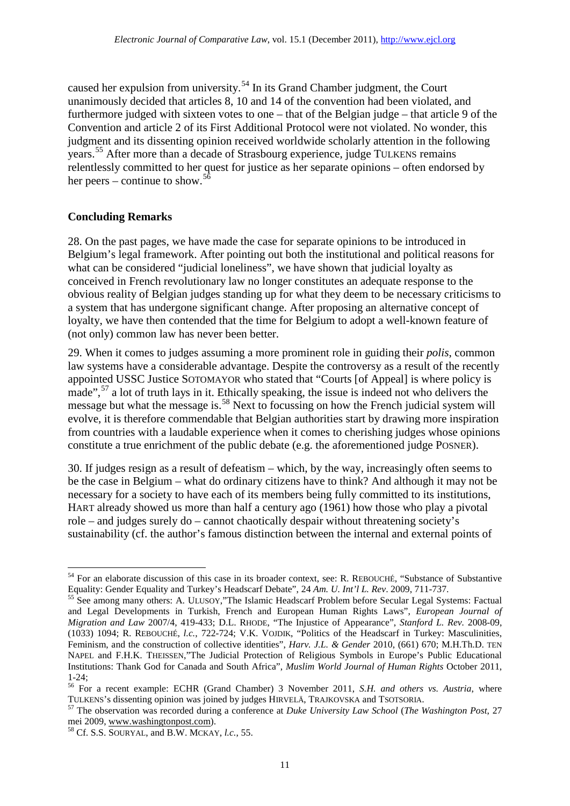caused her expulsion from university.<sup>[54](#page-10-0)</sup> In its Grand Chamber judgment, the Court unanimously decided that articles 8, 10 and 14 of the convention had been violated, and furthermore judged with sixteen votes to one – that of the Belgian judge – that article 9 of the Convention and article 2 of its First Additional Protocol were not violated. No wonder, this judgment and its dissenting opinion received worldwide scholarly attention in the following years. [55](#page-10-1) After more than a decade of Strasbourg experience, judge TULKENS remains relentlessly committed to her quest for justice as her separate opinions – often endorsed by her peers – continue to show.<sup>[56](#page-10-2)</sup>

### **Concluding Remarks**

<u>.</u>

28. On the past pages, we have made the case for separate opinions to be introduced in Belgium's legal framework. After pointing out both the institutional and political reasons for what can be considered "judicial loneliness", we have shown that judicial loyalty as conceived in French revolutionary law no longer constitutes an adequate response to the obvious reality of Belgian judges standing up for what they deem to be necessary criticisms to a system that has undergone significant change. After proposing an alternative concept of loyalty, we have then contended that the time for Belgium to adopt a well-known feature of (not only) common law has never been better.

29. When it comes to judges assuming a more prominent role in guiding their *polis*, common law systems have a considerable advantage. Despite the controversy as a result of the recently appointed USSC Justice SOTOMAYOR who stated that "Courts [of Appeal] is where policy is made",<sup>[57](#page-10-3)</sup> a lot of truth lays in it. Ethically speaking, the issue is indeed not who delivers the message but what the message is.<sup>[58](#page-10-4)</sup> Next to focussing on how the French judicial system will evolve, it is therefore commendable that Belgian authorities start by drawing more inspiration from countries with a laudable experience when it comes to cherishing judges whose opinions constitute a true enrichment of the public debate (e.g. the aforementioned judge POSNER).

30. If judges resign as a result of defeatism – which, by the way, increasingly often seems to be the case in Belgium – what do ordinary citizens have to think? And although it may not be necessary for a society to have each of its members being fully committed to its institutions, HART already showed us more than half a century ago (1961) how those who play a pivotal role – and judges surely do – cannot chaotically despair without threatening society's sustainability (cf. the author's famous distinction between the internal and external points of

<span id="page-10-0"></span><sup>54</sup> For an elaborate discussion of this case in its broader context, see: R. REBOUCHÉ, "Substance of Substantive Equality: Gender Equality and Turkey's Headscarf Debate", 24 *Am. U. Int'l L. Rev*. 2009, 711-737. <sup>55</sup> See among many others: A. ULUSOY,"The Islamic Headscarf Problem before Secular Legal Systems: Factual

<span id="page-10-1"></span>and Legal Developments in Turkish, French and European Human Rights Laws", *European Journal of Migration and Law* 2007/4, 419-433; D.L. RHODE, "The Injustice of Appearance", *Stanford L. Rev.* 2008-09, (1033) 1094; R. REBOUCHÉ, *l.c.*, 722-724; V.K. VOJDIK, "Politics of the Headscarf in Turkey: Masculinities, Feminism, and the construction of collective identities", *Harv. J.L. & Gender* 2010, (661) 670; M.H.Th.D. TEN NAPEL and F.H.K. THEISSEN,"The Judicial Protection of Religious Symbols in Europe's Public Educational Institutions: Thank God for Canada and South Africa", *Muslim World Journal of Human Rights* October 2011,

<span id="page-10-2"></span><sup>1-24;&</sup>lt;br><sup>56</sup> For a recent example: ECHR (Grand Chamber) 3 November 2011, *S.H. and others vs. Austria*, where<br>TULKENS's dissenting opinion was joined by judges HIRVELÄ, TRAJKOVSKA and TSOTSORIA.

<span id="page-10-3"></span><sup>&</sup>lt;sup>57</sup> The observation was recorded during a conference at *Duke University Law School (The Washington Post*, 27 mei 2009, www.washingtonpost.com). <sup>58</sup> Cf. S.S. SOURYAL, and B.W. MCKAY, *l.c.*, 55.

<span id="page-10-4"></span>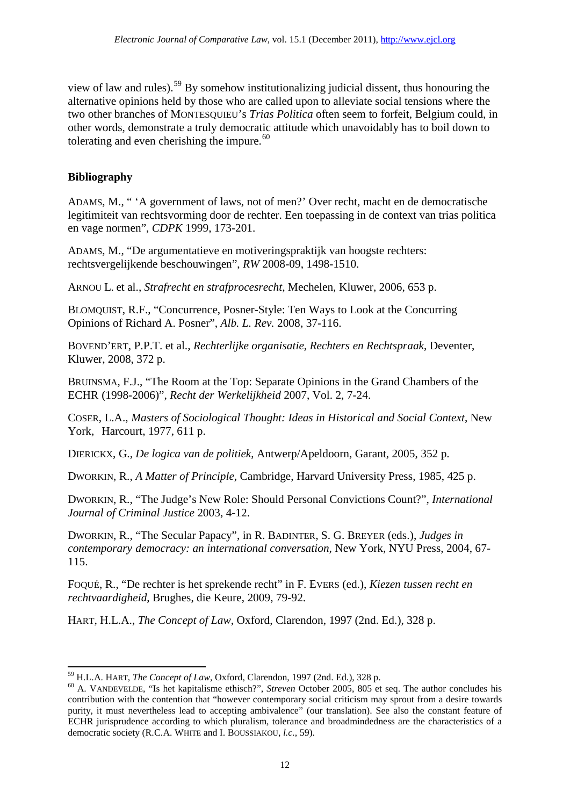view of law and rules). [59](#page-11-0) By somehow institutionalizing judicial dissent, thus honouring the alternative opinions held by those who are called upon to alleviate social tensions where the two other branches of MONTESQUIEU's *Trias Politica* often seem to forfeit, Belgium could, in other words, demonstrate a truly democratic attitude which unavoidably has to boil down to tolerating and even cherishing the impure.<sup>[60](#page-11-1)</sup>

# **Bibliography**

<u>.</u>

ADAMS, M., " 'A government of laws, not of men?' Over recht, macht en de democratische legitimiteit van rechtsvorming door de rechter. Een toepassing in de context van trias politica en vage normen", *CDPK* 1999, 173-201.

ADAMS, M., "De argumentatieve en motiveringspraktijk van hoogste rechters: rechtsvergelijkende beschouwingen", *RW* 2008-09, 1498-1510.

ARNOU L. et al., *Strafrecht en strafprocesrecht*, Mechelen, Kluwer, 2006, 653 p.

BLOMQUIST, R.F., "Concurrence, Posner-Style: Ten Ways to Look at the Concurring Opinions of Richard A. Posner", *Alb. L. Rev.* 2008, 37-116.

BOVEND'ERT, P.P.T. et al., *Rechterlijke organisatie, Rechters en Rechtspraak*, Deventer, Kluwer, 2008, 372 p.

BRUINSMA, F.J., "The Room at the Top: Separate Opinions in the Grand Chambers of the ECHR (1998-2006)", *Recht der Werkelijkheid* 2007, Vol. 2, 7-24.

COSER, L.A., *Masters of Sociological Thought: Ideas in Historical and Social Context*, New York, Harcourt, 1977, 611 p.

DIERICKX, G., *De logica van de politiek*, Antwerp/Apeldoorn, Garant, 2005, 352 p.

DWORKIN, R., *A Matter of Principle*, Cambridge, Harvard University Press, 1985, 425 p.

DWORKIN, R., "The Judge's New Role: Should Personal Convictions Count?", *International Journal of Criminal Justice* 2003, 4-12.

DWORKIN, R., "The Secular Papacy", in R. BADINTER, S. G. BREYER (eds.), *Judges in contemporary democracy: an international conversation,* New York, NYU Press, 2004, 67- 115.

FOQUÉ, R., "De rechter is het sprekende recht" in F. EVERS (ed.), *Kiezen tussen recht en rechtvaardigheid*, Brughes, die Keure, 2009, 79-92.

HART, H.L.A., *The Concept of Law*, Oxford, Clarendon, 1997 (2nd. Ed.), 328 p.

<span id="page-11-1"></span><span id="page-11-0"></span><sup>&</sup>lt;sup>59</sup> H.L.A. HART, *The Concept of Law*, Oxford, Clarendon, 1997 (2nd. Ed.), 328 p.<br><sup>60</sup> A. VANDEVELDE, "Is het kapitalisme ethisch?", *Streven* October 2005, 805 et seq. The author concludes his contribution with the contention that "however contemporary social criticism may sprout from a desire towards purity, it must nevertheless lead to accepting ambivalence" (our translation). See also the constant feature of ECHR jurisprudence according to which pluralism, tolerance and broadmindedness are the characteristics of a democratic society (R.C.A. WHITE and I. BOUSSIAKOU, *l.c.*, 59).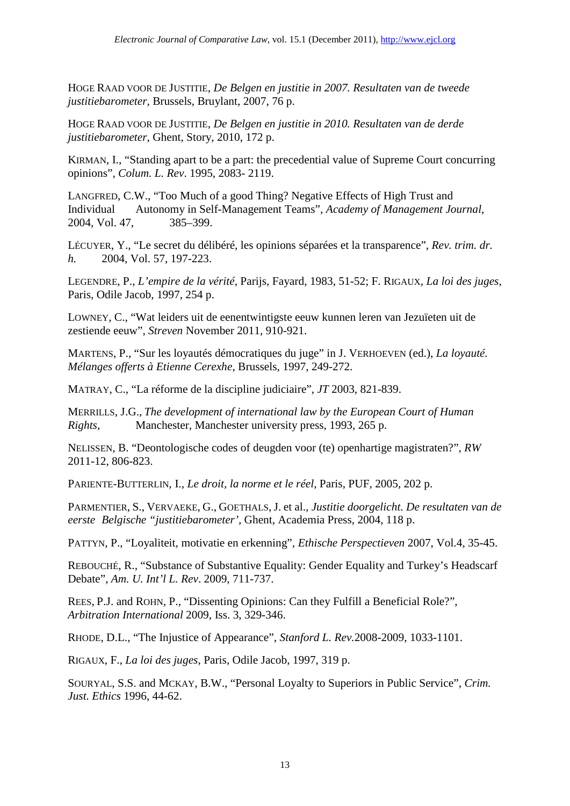HOGE RAAD VOOR DE JUSTITIE, *De Belgen en justitie in 2007. Resultaten van de tweede justitiebarometer,* Brussels, Bruylant, 2007, 76 p.

HOGE RAAD VOOR DE JUSTITIE, *De Belgen en justitie in 2010. Resultaten van de derde justitiebarometer*, Ghent, Story, 2010, 172 p.

KIRMAN, I., "Standing apart to be a part: the precedential value of Supreme Court concurring opinions", *Colum. L. Rev*. 1995, 2083- 2119.

LANGFRED, C.W., "Too Much of a good Thing? Negative Effects of High Trust and Individual Autonomy in Self-Management Teams", *Academy of Management Journal*, 2004, Vol. 47, 385–399.

LÉCUYER, Y., "Le secret du délibéré, les opinions séparées et la transparence", *Rev. trim. dr. h.* 2004, Vol. 57, 197-223.

LEGENDRE, P., *L'empire de la vérité*, Parijs, Fayard, 1983, 51-52; F. RIGAUX, *La loi des juges*, Paris, Odile Jacob, 1997, 254 p.

LOWNEY, C., "Wat leiders uit de eenentwintigste eeuw kunnen leren van Jezuïeten uit de zestiende eeuw", *Streven* November 2011, 910-921.

MARTENS, P., "Sur les loyautés démocratiques du juge" in J. VERHOEVEN (ed.), *La loyauté. Mélanges offerts à Etienne Cerexhe*, Brussels, 1997, 249-272.

MATRAY, C., "La réforme de la discipline judiciaire", *JT* 2003, 821-839.

MERRILLS, J.G., *The development of international law by the European Court of Human Rights*, Manchester, Manchester university press, 1993, 265 p.

NELISSEN, B. "Deontologische codes of deugden voor (te) openhartige magistraten?", *RW* 2011-12, 806-823.

PARIENTE-BUTTERLIN, I., *Le droit, la norme et le réel*, Paris, PUF, 2005, 202 p.

PARMENTIER, S., VERVAEKE, G., GOETHALS, J. et al., *Justitie doorgelicht. De resultaten van de eerste Belgische "justitiebarometer',* Ghent, Academia Press, 2004, 118 p.

PATTYN, P., "Loyaliteit, motivatie en erkenning", *Ethische Perspectieven* 2007, Vol.4, 35-45.

REBOUCHÉ, R., "Substance of Substantive Equality: Gender Equality and Turkey's Headscarf Debate", *Am. U. Int'l L. Rev*. 2009, 711-737.

REES, P.J. and ROHN, P., "Dissenting Opinions: Can they Fulfill a Beneficial Role?", *Arbitration International* 2009, Iss. 3, 329-346.

RHODE, D.L., "The Injustice of Appearance", *Stanford L. Rev.*2008-2009, 1033-1101.

RIGAUX, F., *La loi des juges*, Paris, Odile Jacob, 1997, 319 p.

SOURYAL, S.S. and MCKAY, B.W., "Personal Loyalty to Superiors in Public Service", *Crim. Just. Ethics* 1996, 44-62.